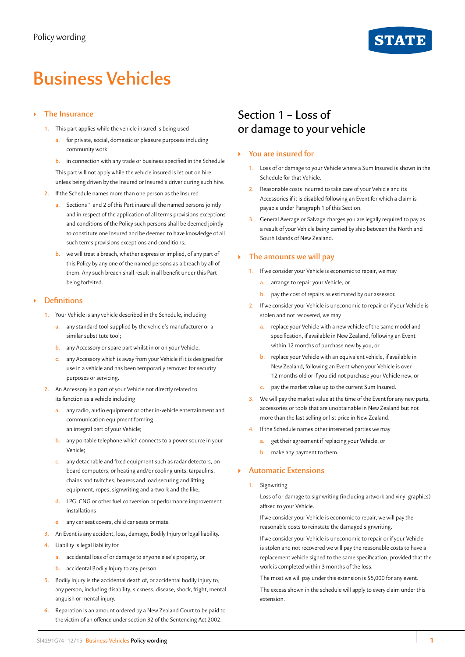

# **Business Vehicles**

#### ` **The Insurance**

- **1.** This part applies while the vehicle insured is being used
	- **a.** for private, social, domestic or pleasure purposes including community work
	- **b.** in connection with any trade or business specified in the Schedule

This part will not apply while the vehicle insured is let out on hire unless being driven by the Insured or Insured's driver during such hire.

- **2.** If the Schedule names more than one person as the Insured
	- **a.** Sections 1 and 2 of this Part insure all the named persons jointly and in respect of the application of all terms provisions exceptions and conditions of the Policy such persons shall be deemed jointly to constitute one Insured and be deemed to have knowledge of all such terms provisions exceptions and conditions;
	- **b.** we will treat a breach, whether express or implied, of any part of this Policy by any one of the named persons as a breach by all of them. Any such breach shall result in all benefit under this Part being forfeited.

#### ` **Definitions**

- **1.** Your Vehicle is any vehicle described in the Schedule, including
	- **a.** any standard tool supplied by the vehicle's manufacturer or a similar substitute tool;
	- **b.** any Accessory or spare part whilst in or on your Vehicle;
	- **c.** any Accessory which is away from your Vehicle if it is designed for use in a vehicle and has been temporarily removed for security purposes or servicing.
- **2.** An Accessory is a part of your Vehicle not directly related to its function as a vehicle including
	- **a.** any radio, audio equipment or other in-vehicle entertainment and communication equipment forming an integral part of your Vehicle;
	- **b.** any portable telephone which connects to a power source in your Vehicle;
	- **c.** any detachable and fixed equipment such as radar detectors, on board computers, or heating and/or cooling units, tarpaulins, chains and twitches, bearers and load securing and lifting equipment, ropes, signwriting and artwork and the like;
	- **d.** LPG, CNG or other fuel conversion or performance improvement installations
	- **e.** any car seat covers, child car seats or mats.
- **3.** An Event is any accident, loss, damage, Bodily Injury or legal liability.
- **4.** Liability is legal liability for
	- **a.** accidental loss of or damage to anyone else's property, or
	- **b.** accidental Bodily Injury to any person.
- **5.** Bodily Injury is the accidental death of, or accidental bodily injury to, any person, including disability, sickness, disease, shock, fright, mental anguish or mental injury.
- **6.** Reparation is an amount ordered by a New Zealand Court to be paid to the victim of an offence under section 32 of the Sentencing Act 2002.

## Section 1 – Loss of or damage to your vehicle

#### ` **You are insured for**

- **1.** Loss of or damage to your Vehicle where a Sum Insured is shown in the Schedule for that Vehicle.
- **2.** Reasonable costs incurred to take care of your Vehicle and its Accessories if it is disabled following an Event for which a claim is payable under Paragraph 1 of this Section.
- **3.** General Average or Salvage charges you are legally required to pay as a result of your Vehicle being carried by ship between the North and South Islands of New Zealand.

#### ` **The amounts we will pay**

- **1.** If we consider your Vehicle is economic to repair, we may
	- **a.** arrange to repair your Vehicle, or
	- **b.** pay the cost of repairs as estimated by our assessor.
- **2.** If we consider your Vehicle is uneconomic to repair or if your Vehicle is stolen and not recovered, we may
	- **a.** replace your Vehicle with a new vehicle of the same model and specification, if available in New Zealand, following an Event within 12 months of purchase new by you, or
	- **b.** replace your Vehicle with an equivalent vehicle, if available in New Zealand, following an Event when your Vehicle is over 12 months old or if you did not purchase your Vehicle new, or
	- **c.** pay the market value up to the current Sum Insured.
- **3.** We will pay the market value at the time of the Event for any new parts, accessories or tools that are unobtainable in New Zealand but not more than the last selling or list price in New Zealand.
- **4.** If the Schedule names other interested parties we may
	- **a.** get their agreement if replacing your Vehicle, or
	- **b.** make any payment to them.

#### ` **Automatic Extensions**

**1.** Signwriting

Loss of or damage to signwriting (including artwork and vinyl graphics) affixed to your Vehicle.

If we consider your Vehicle is economic to repair, we will pay the reasonable costs to reinstate the damaged signwriting.

If we consider your Vehicle is uneconomic to repair or if your Vehicle is stolen and not recovered we will pay the reasonable costs to have a replacement vehicle signed to the same specification, provided that the work is completed within 3 months of the loss.

The most we will pay under this extension is \$5,000 for any event.

The excess shown in the schedule will apply to every claim under this extension.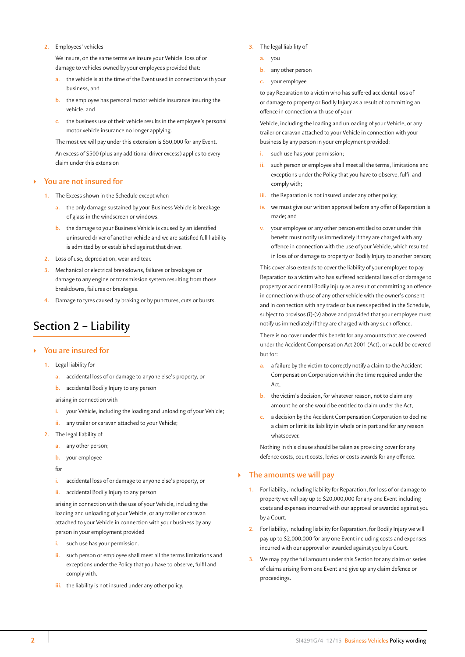#### **2.** Employees' vehicles

We insure, on the same terms we insure your Vehicle, loss of or damage to vehicles owned by your employees provided that:

- **a.** the vehicle is at the time of the Event used in connection with your business, and
- **b.** the employee has personal motor vehicle insurance insuring the vehicle, and
- **c.** the business use of their vehicle results in the employee's personal motor vehicle insurance no longer applying.

The most we will pay under this extension is \$50,000 for any Event.

An excess of \$500 (plus any additional driver excess) applies to every claim under this extension

#### ` **You are not insured for**

- **1.** The Excess shown in the Schedule except when
	- **a.** the only damage sustained by your Business Vehicle is breakage of glass in the windscreen or windows.
	- **b.** the damage to your Business Vehicle is caused by an identified uninsured driver of another vehicle and we are satisfied full liability is admitted by or established against that driver.
- **2.** Loss of use, depreciation, wear and tear.
- **3.** Mechanical or electrical breakdowns, failures or breakages or damage to any engine or transmission system resulting from those breakdowns, failures or breakages.
- **4.** Damage to tyres caused by braking or by punctures, cuts or bursts.

# Section 2 – Liability

#### ` **You are insured for**

- **1.** Legal liability for
	- **a.** accidental loss of or damage to anyone else's property, or
	- **b.** accidental Bodily Injury to any person

arising in connection with

- **i.** your Vehicle, including the loading and unloading of your Vehicle;
- any trailer or caravan attached to your Vehicle;
- **2.** The legal liability of
	- **a.** any other person;
	- **b.** your employee

 $f$ 

- **i.** accidental loss of or damage to anyone else's property, or
- **ii.** accidental Bodily Injury to any person

arising in connection with the use of your Vehicle, including the loading and unloading of your Vehicle, or any trailer or caravan attached to your Vehicle in connection with your business by any person in your employment provided

- **i.** such use has your permission.
- **ii.** such person or employee shall meet all the terms limitations and exceptions under the Policy that you have to observe, fulfil and comply with.
- **iii.** the liability is not insured under any other policy.
- **3.** The legal liability of
	- **a.** you
	- **b.** any other person
	- **c.** your employee

to pay Reparation to a victim who has suffered accidental loss of or damage to property or Bodily Injury as a result of committing an offence in connection with use of your

Vehicle, including the loading and unloading of your Vehicle, or any trailer or caravan attached to your Vehicle in connection with your business by any person in your employment provided:

- **i.** such use has your permission;
- **ii.** such person or employee shall meet all the terms, limitations and exceptions under the Policy that you have to observe, fulfil and comply with;
- **iii.** the Reparation is not insured under any other policy;
- **iv.** we must give our written approval before any offer of Reparation is made; and
- **v.** your employee or any other person entitled to cover under this benefit must notify us immediately if they are charged with any offence in connection with the use of your Vehicle, which resulted in loss of or damage to property or Bodily Injury to another person;

This cover also extends to cover the liability of your employee to pay Reparation to a victim who has suffered accidental loss of or damage to property or accidental Bodily Injury as a result of committing an offence in connection with use of any other vehicle with the owner's consent and in connection with any trade or business specified in the Schedule, subject to provisos (i)-(v) above and provided that your employee must notify us immediately if they are charged with any such offence.

There is no cover under this benefit for any amounts that are covered under the Accident Compensation Act 2001 (Act), or would be covered but for:

- **a.** a failure by the victim to correctly notify a claim to the Accident Compensation Corporation within the time required under the Act,
- **b.** the victim's decision, for whatever reason, not to claim any amount he or she would be entitled to claim under the Act,
- **c.** a decision by the Accident Compensation Corporation to decline a claim or limit its liability in whole or in part and for any reason whatsoever.

Nothing in this clause should be taken as providing cover for any defence costs, court costs, levies or costs awards for any offence.

#### ` **The amounts we will pay**

- **1.** For liability, including liability for Reparation, for loss of or damage to property we will pay up to \$20,000,000 for any one Event including costs and expenses incurred with our approval or awarded against you by a Court.
- **2.** For liability, including liability for Reparation, for Bodily Injury we will pay up to \$2,000,000 for any one Event including costs and expenses incurred with our approval or awarded against you by a Court.
- **3.** We may pay the full amount under this Section for any claim or series of claims arising from one Event and give up any claim defence or proceedings.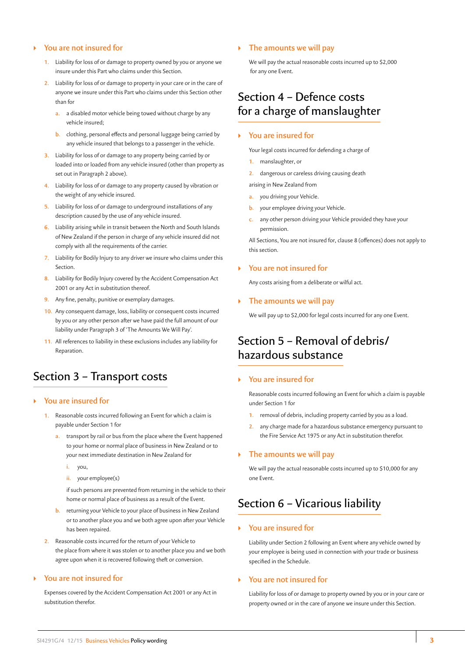#### ` **You are not insured for**

- **1.** Liability for loss of or damage to property owned by you or anyone we insure under this Part who claims under this Section.
- **2.** Liability for loss of or damage to property in your care or in the care of anyone we insure under this Part who claims under this Section other than for
	- **a.** a disabled motor vehicle being towed without charge by any vehicle insured;
	- **b.** clothing, personal effects and personal luggage being carried by any vehicle insured that belongs to a passenger in the vehicle.
- **3.** Liability for loss of or damage to any property being carried by or loaded into or loaded from any vehicle insured (other than property as set out in Paragraph 2 above).
- **4.** Liability for loss of or damage to any property caused by vibration or the weight of any vehicle insured.
- **5.** Liability for loss of or damage to underground installations of any description caused by the use of any vehicle insured.
- **6.** Liability arising while in transit between the North and South Islands of New Zealand if the person in charge of any vehicle insured did not comply with all the requirements of the carrier.
- **7.** Liability for Bodily Injury to any driver we insure who claims under this Section.
- **8.** Liability for Bodily Injury covered by the Accident Compensation Act 2001 or any Act in substitution thereof.
- **9.** Any fine, penalty, punitive or exemplary damages.
- **10.** Any consequent damage, loss, liability or consequent costs incurred by you or any other person after we have paid the full amount of our liability under Paragraph 3 of 'The Amounts We Will Pay'.
- **11.** All references to liability in these exclusions includes any liability for Reparation.

### Section 3 – Transport costs

- ` **You are insured for**
	- **1.** Reasonable costs incurred following an Event for which a claim is payable under Section 1 for
		- **a.** transport by rail or bus from the place where the Event happened to your home or normal place of business in New Zealand or to your next immediate destination in New Zealand for
			- **i.** you,
			- **ii.** your employee(s)

if such persons are prevented from returning in the vehicle to their home or normal place of business as a result of the Event.

- **b.** returning your Vehicle to your place of business in New Zealand or to another place you and we both agree upon after your Vehicle has been repaired.
- **2.** Reasonable costs incurred for the return of your Vehicle to the place from where it was stolen or to another place you and we both agree upon when it is recovered following theft or conversion.

#### ` **You are not insured for**

Expenses covered by the Accident Compensation Act 2001 or any Act in substitution therefor.

#### ` **The amounts we will pay**

We will pay the actual reasonable costs incurred up to \$2,000 for any one Event.

### Section 4 – Defence costs for a charge of manslaughter

#### ` **You are insured for**

Your legal costs incurred for defending a charge of

- **1.** manslaughter, or
- **2.** dangerous or careless driving causing death
- arising in New Zealand from
- **a.** you driving your Vehicle.
- **b.** your employee driving your Vehicle.
- **c.** any other person driving your Vehicle provided they have your permission.

All Sections, You are not insured for, clause 8 (offences) does not apply to this section.

#### ` **You are not insured for**

Any costs arising from a deliberate or wilful act.

#### ` **The amounts we will pay**

We will pay up to \$2,000 for legal costs incurred for any one Event.

### Section 5 – Removal of debris/ hazardous substance

#### ` **You are insured for**

Reasonable costs incurred following an Event for which a claim is payable under Section 1 for

- **1.** removal of debris, including property carried by you as a load.
- **2.** any charge made for a hazardous substance emergency pursuant to the Fire Service Act 1975 or any Act in substitution therefor.

#### ` **The amounts we will pay**

We will pay the actual reasonable costs incurred up to \$10,000 for any one Event.

## Section 6 – Vicarious liability

#### ` **You are insured for**

Liability under Section 2 following an Event where any vehicle owned by your employee is being used in connection with your trade or business specified in the Schedule.

#### ` **You are not insured for**

Liability for loss of or damage to property owned by you or in your care or property owned or in the care of anyone we insure under this Section.